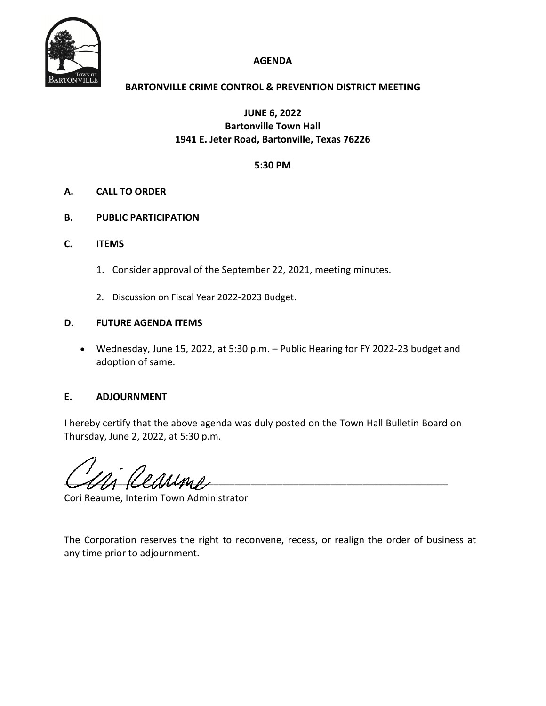

# **AGENDA**

# **BARTONVILLE CRIME CONTROL & PREVENTION DISTRICT MEETING**

**JUNE 6, 2022 Bartonville Town Hall 1941 E. Jeter Road, Bartonville, Texas 76226**

## **5:30 PM**

# **A. CALL TO ORDER**

- **B. PUBLIC PARTICIPATION**
- **C. ITEMS**
	- 1. Consider approval of the September 22, 2021, meeting minutes.
	- 2. Discussion on Fiscal Year 2022‐2023 Budget.

## **D. FUTURE AGENDA ITEMS**

 Wednesday, June 15, 2022, at 5:30 p.m. – Public Hearing for FY 2022‐23 budget and adoption of same.

### **E. ADJOURNMENT**

I hereby certify that the above agenda was duly posted on the Town Hall Bulletin Board on Thursday, June 2, 2022, at 5:30 p.m.

 $\frac{1}{2}$ 

Cori Reaume, Interim Town Administrator

The Corporation reserves the right to reconvene, recess, or realign the order of business at any time prior to adjournment.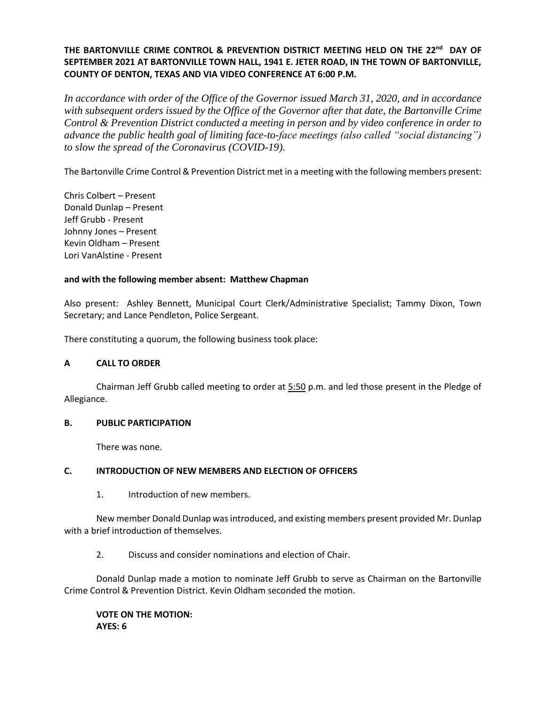# **THE BARTONVILLE CRIME CONTROL & PREVENTION DISTRICT MEETING HELD ON THE 22nd DAY OF SEPTEMBER 2021 AT BARTONVILLE TOWN HALL, 1941 E. JETER ROAD, IN THE TOWN OF BARTONVILLE, COUNTY OF DENTON, TEXAS AND VIA VIDEO CONFERENCE AT 6:00 P.M.**

*In accordance with order of the Office of the Governor issued March 31, 2020, and in accordance with subsequent orders issued by the Office of the Governor after that date, the Bartonville Crime Control & Prevention District conducted a meeting in person and by video conference in order to advance the public health goal of limiting face-to-face meetings (also called "social distancing") to slow the spread of the Coronavirus (COVID-19).* 

The Bartonville Crime Control & Prevention District met in a meeting with the following members present:

Chris Colbert – Present Donald Dunlap – Present Jeff Grubb - Present Johnny Jones – Present Kevin Oldham – Present Lori VanAlstine - Present

#### **and with the following member absent: Matthew Chapman**

Also present: Ashley Bennett, Municipal Court Clerk/Administrative Specialist; Tammy Dixon, Town Secretary; and Lance Pendleton, Police Sergeant.

There constituting a quorum, the following business took place:

### **A CALL TO ORDER**

Chairman Jeff Grubb called meeting to order at 5:50 p.m. and led those present in the Pledge of Allegiance.

#### **B. PUBLIC PARTICIPATION**

There was none.

### **C. INTRODUCTION OF NEW MEMBERS AND ELECTION OF OFFICERS**

1. Introduction of new members.

New member Donald Dunlap was introduced, and existing members present provided Mr. Dunlap with a brief introduction of themselves.

2. Discuss and consider nominations and election of Chair.

Donald Dunlap made a motion to nominate Jeff Grubb to serve as Chairman on the Bartonville Crime Control & Prevention District. Kevin Oldham seconded the motion.

**VOTE ON THE MOTION: AYES: 6**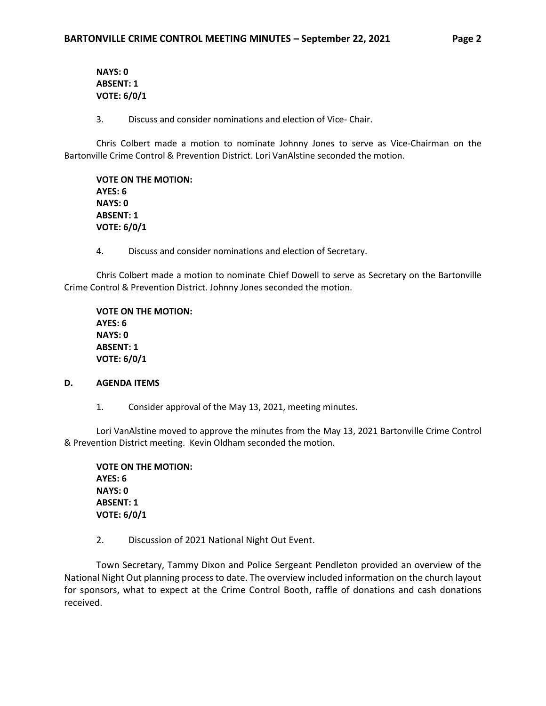**NAYS: 0 ABSENT: 1 VOTE: 6/0/1**

3. Discuss and consider nominations and election of Vice- Chair.

Chris Colbert made a motion to nominate Johnny Jones to serve as Vice-Chairman on the Bartonville Crime Control & Prevention District. Lori VanAlstine seconded the motion.

**VOTE ON THE MOTION: AYES: 6 NAYS: 0 ABSENT: 1 VOTE: 6/0/1**

4. Discuss and consider nominations and election of Secretary.

Chris Colbert made a motion to nominate Chief Dowell to serve as Secretary on the Bartonville Crime Control & Prevention District. Johnny Jones seconded the motion.

**VOTE ON THE MOTION: AYES: 6 NAYS: 0 ABSENT: 1 VOTE: 6/0/1**

#### **D. AGENDA ITEMS**

1. Consider approval of the May 13, 2021, meeting minutes.

Lori VanAlstine moved to approve the minutes from the May 13, 2021 Bartonville Crime Control & Prevention District meeting. Kevin Oldham seconded the motion.

**VOTE ON THE MOTION: AYES: 6 NAYS: 0 ABSENT: 1 VOTE: 6/0/1**

2. Discussion of 2021 National Night Out Event.

Town Secretary, Tammy Dixon and Police Sergeant Pendleton provided an overview of the National Night Out planning process to date. The overview included information on the church layout for sponsors, what to expect at the Crime Control Booth, raffle of donations and cash donations received.